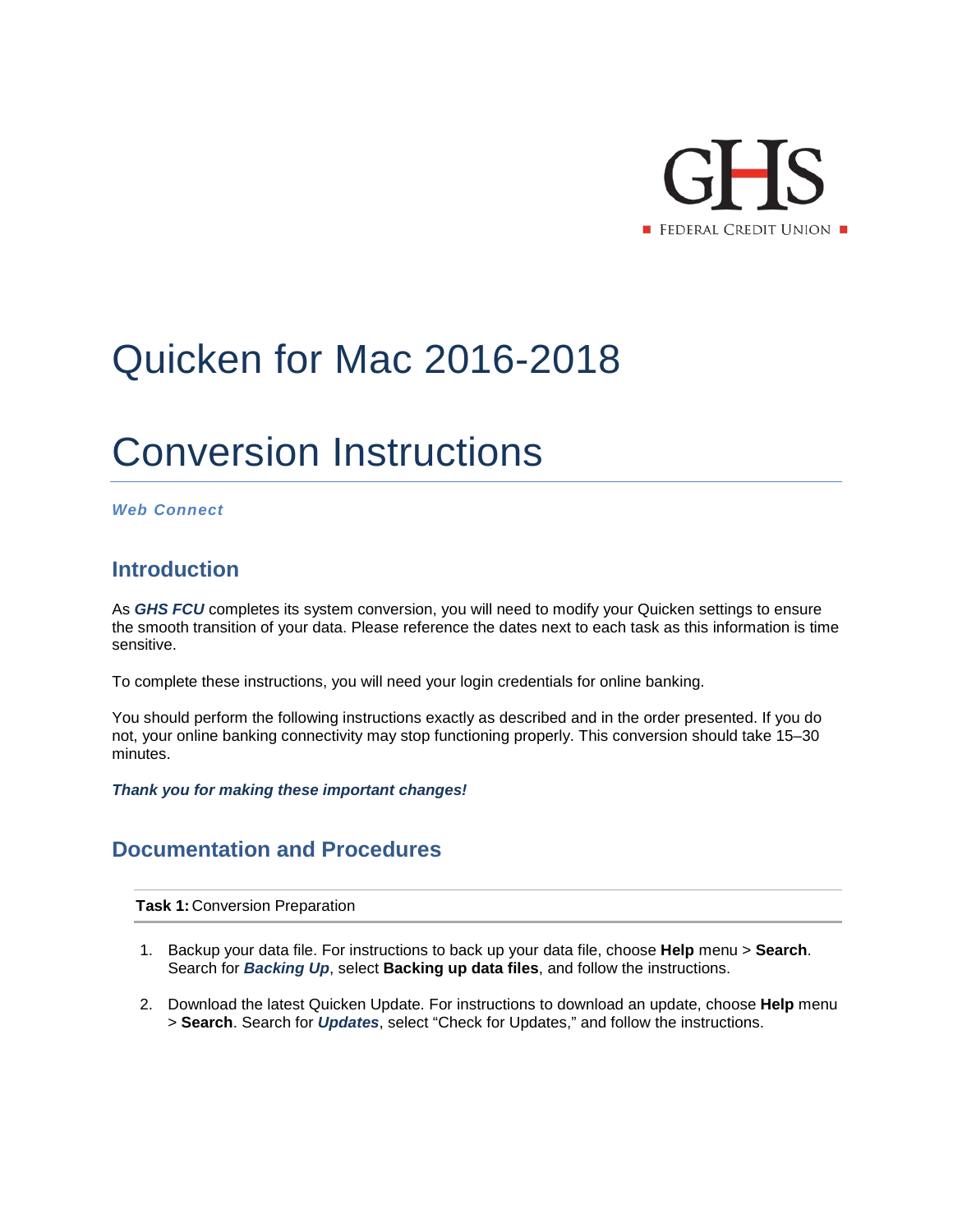

# Quicken for Mac 2016-2018

## Conversion Instructions

#### *Web Connect*

## **Introduction**

As *GHS FCU* completes its system conversion, you will need to modify your Quicken settings to ensure the smooth transition of your data. Please reference the dates next to each task as this information is time sensitive.

To complete these instructions, you will need your login credentials for online banking.

You should perform the following instructions exactly as described and in the order presented. If you do not, your online banking connectivity may stop functioning properly. This conversion should take 15–30 minutes.

*Thank you for making these important changes!*

## **Documentation and Procedures**

**Task 1:** Conversion Preparation

- 1. Backup your data file. For instructions to back up your data file, choose **Help** menu > **Search**. Search for *Backing Up*, select **Backing up data files**, and follow the instructions.
- 2. Download the latest Quicken Update. For instructions to download an update, choose **Help** menu > **Search**. Search for *Updates*, select "Check for Updates," and follow the instructions.